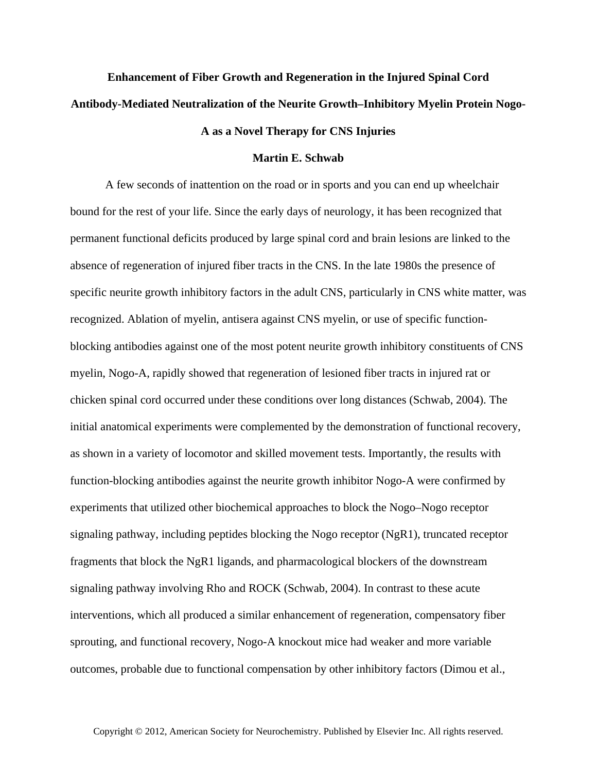## **Enhancement of Fiber Growth and Regeneration in the Injured Spinal Cord Antibody-Mediated Neutralization of the Neurite Growth–Inhibitory Myelin Protein Nogo-A as a Novel Therapy for CNS Injuries**

## **Martin E. Schwab**

A few seconds of inattention on the road or in sports and you can end up wheelchair bound for the rest of your life. Since the early days of neurology, it has been recognized that permanent functional deficits produced by large spinal cord and brain lesions are linked to the absence of regeneration of injured fiber tracts in the CNS. In the late 1980s the presence of specific neurite growth inhibitory factors in the adult CNS, particularly in CNS white matter, was recognized. Ablation of myelin, antisera against CNS myelin, or use of specific functionblocking antibodies against one of the most potent neurite growth inhibitory constituents of CNS myelin, Nogo-A, rapidly showed that regeneration of lesioned fiber tracts in injured rat or chicken spinal cord occurred under these conditions over long distances (Schwab, 2004). The initial anatomical experiments were complemented by the demonstration of functional recovery, as shown in a variety of locomotor and skilled movement tests. Importantly, the results with function-blocking antibodies against the neurite growth inhibitor Nogo-A were confirmed by experiments that utilized other biochemical approaches to block the Nogo–Nogo receptor signaling pathway, including peptides blocking the Nogo receptor (NgR1), truncated receptor fragments that block the NgR1 ligands, and pharmacological blockers of the downstream signaling pathway involving Rho and ROCK (Schwab, 2004). In contrast to these acute interventions, which all produced a similar enhancement of regeneration, compensatory fiber sprouting, and functional recovery, Nogo-A knockout mice had weaker and more variable outcomes, probable due to functional compensation by other inhibitory factors (Dimou et al.,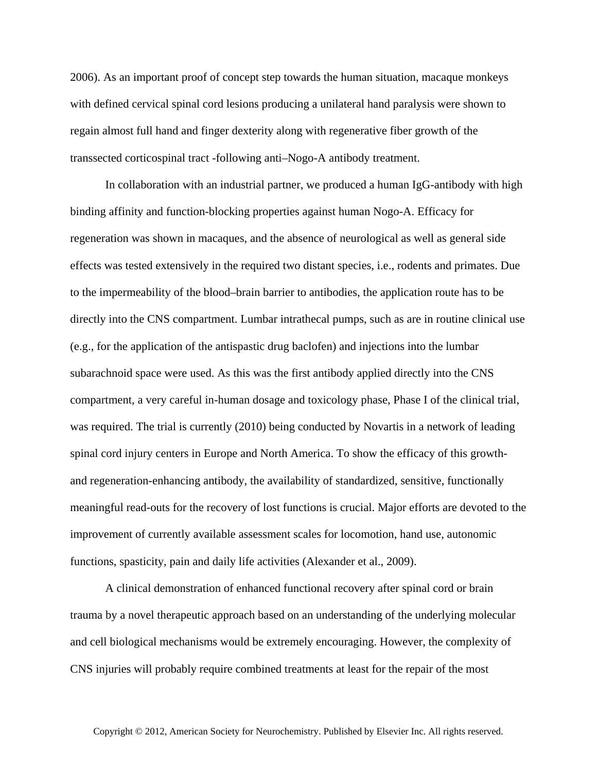2006). As an important proof of concept step towards the human situation, macaque monkeys with defined cervical spinal cord lesions producing a unilateral hand paralysis were shown to regain almost full hand and finger dexterity along with regenerative fiber growth of the transsected corticospinal tract -following anti–Nogo-A antibody treatment.

In collaboration with an industrial partner, we produced a human IgG-antibody with high binding affinity and function-blocking properties against human Nogo-A. Efficacy for regeneration was shown in macaques, and the absence of neurological as well as general side effects was tested extensively in the required two distant species, i.e., rodents and primates. Due to the impermeability of the blood–brain barrier to antibodies, the application route has to be directly into the CNS compartment. Lumbar intrathecal pumps, such as are in routine clinical use (e.g., for the application of the antispastic drug baclofen) and injections into the lumbar subarachnoid space were used. As this was the first antibody applied directly into the CNS compartment, a very careful in-human dosage and toxicology phase, Phase I of the clinical trial, was required. The trial is currently (2010) being conducted by Novartis in a network of leading spinal cord injury centers in Europe and North America. To show the efficacy of this growthand regeneration-enhancing antibody, the availability of standardized, sensitive, functionally meaningful read-outs for the recovery of lost functions is crucial. Major efforts are devoted to the improvement of currently available assessment scales for locomotion, hand use, autonomic functions, spasticity, pain and daily life activities (Alexander et al., 2009).

A clinical demonstration of enhanced functional recovery after spinal cord or brain trauma by a novel therapeutic approach based on an understanding of the underlying molecular and cell biological mechanisms would be extremely encouraging. However, the complexity of CNS injuries will probably require combined treatments at least for the repair of the most